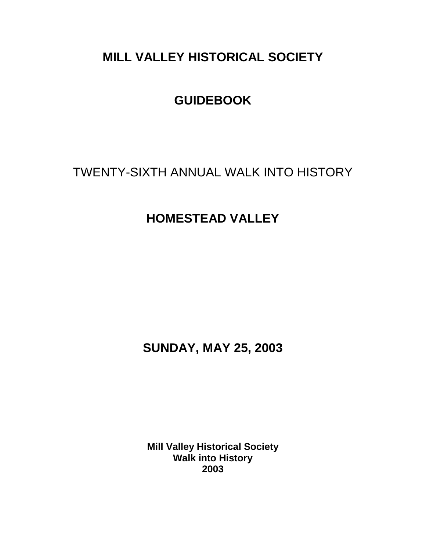# **MILL VALLEY HISTORICAL SOCIETY**

# **GUIDEBOOK**

TWENTY-SIXTH ANNUAL WALK INTO HISTORY

# **HOMESTEAD VALLEY**

**SUNDAY, MAY 25, 2003**

**Mill Valley Historical Society Walk into History 2003**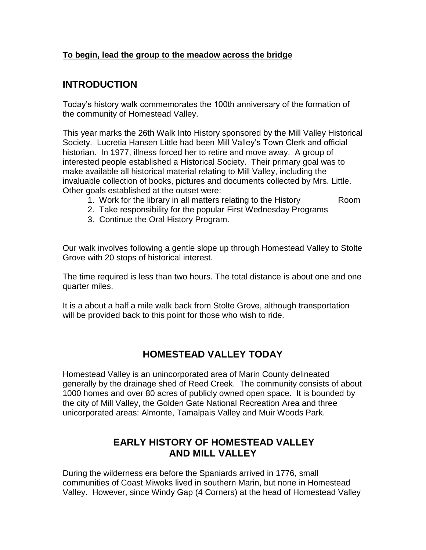#### **To begin, lead the group to the meadow across the bridge**

### **INTRODUCTION**

Today's history walk commemorates the 100th anniversary of the formation of the community of Homestead Valley.

This year marks the 26th Walk Into History sponsored by the Mill Valley Historical Society. Lucretia Hansen Little had been Mill Valley's Town Clerk and official historian. In 1977, illness forced her to retire and move away. A group of interested people established a Historical Society. Their primary goal was to make available all historical material relating to Mill Valley, including the invaluable collection of books, pictures and documents collected by Mrs. Little. Other goals established at the outset were:

- 1. Work for the library in all matters relating to the History Room
- 2. Take responsibility for the popular First Wednesday Programs
- 3. Continue the Oral History Program.

Our walk involves following a gentle slope up through Homestead Valley to Stolte Grove with 20 stops of historical interest.

The time required is less than two hours. The total distance is about one and one quarter miles.

It is a about a half a mile walk back from Stolte Grove, although transportation will be provided back to this point for those who wish to ride.

# **HOMESTEAD VALLEY TODAY**

Homestead Valley is an unincorporated area of Marin County delineated generally by the drainage shed of Reed Creek. The community consists of about 1000 homes and over 80 acres of publicly owned open space. It is bounded by the city of Mill Valley, the Golden Gate National Recreation Area and three unicorporated areas: Almonte, Tamalpais Valley and Muir Woods Park.

# **EARLY HISTORY OF HOMESTEAD VALLEY AND MILL VALLEY**

During the wilderness era before the Spaniards arrived in 1776, small communities of Coast Miwoks lived in southern Marin, but none in Homestead Valley. However, since Windy Gap (4 Corners) at the head of Homestead Valley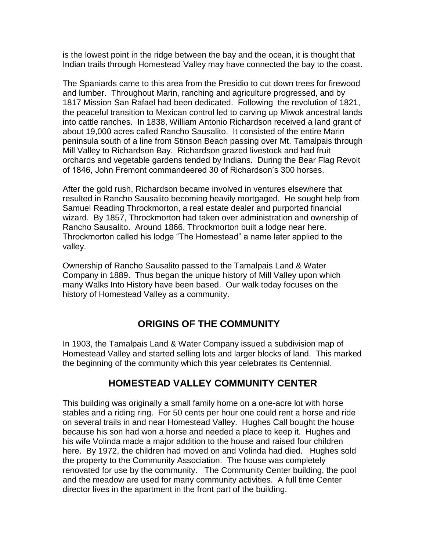is the lowest point in the ridge between the bay and the ocean, it is thought that Indian trails through Homestead Valley may have connected the bay to the coast.

The Spaniards came to this area from the Presidio to cut down trees for firewood and lumber. Throughout Marin, ranching and agriculture progressed, and by 1817 Mission San Rafael had been dedicated. Following the revolution of 1821, the peaceful transition to Mexican control led to carving up Miwok ancestral lands into cattle ranches. In 1838, William Antonio Richardson received a land grant of about 19,000 acres called Rancho Sausalito. It consisted of the entire Marin peninsula south of a line from Stinson Beach passing over Mt. Tamalpais through Mill Valley to Richardson Bay. Richardson grazed livestock and had fruit orchards and vegetable gardens tended by Indians. During the Bear Flag Revolt of 1846, John Fremont commandeered 30 of Richardson's 300 horses.

After the gold rush, Richardson became involved in ventures elsewhere that resulted in Rancho Sausalito becoming heavily mortgaged. He sought help from Samuel Reading Throckmorton, a real estate dealer and purported financial wizard. By 1857, Throckmorton had taken over administration and ownership of Rancho Sausalito. Around 1866, Throckmorton built a lodge near here. Throckmorton called his lodge "The Homestead" a name later applied to the valley.

Ownership of Rancho Sausalito passed to the Tamalpais Land & Water Company in 1889. Thus began the unique history of Mill Valley upon which many Walks Into History have been based. Our walk today focuses on the history of Homestead Valley as a community.

# **ORIGINS OF THE COMMUNITY**

In 1903, the Tamalpais Land & Water Company issued a subdivision map of Homestead Valley and started selling lots and larger blocks of land. This marked the beginning of the community which this year celebrates its Centennial.

# **HOMESTEAD VALLEY COMMUNITY CENTER**

This building was originally a small family home on a one-acre lot with horse stables and a riding ring. For 50 cents per hour one could rent a horse and ride on several trails in and near Homestead Valley. Hughes Call bought the house because his son had won a horse and needed a place to keep it. Hughes and his wife Volinda made a major addition to the house and raised four children here. By 1972, the children had moved on and Volinda had died. Hughes sold the property to the Community Association. The house was completely renovated for use by the community. The Community Center building, the pool and the meadow are used for many community activities. A full time Center director lives in the apartment in the front part of the building.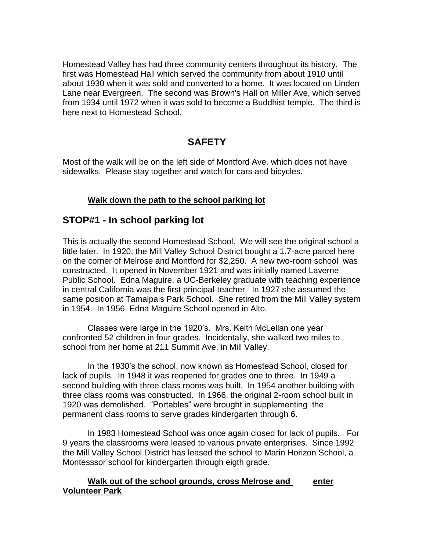Homestead Valley has had three community centers throughout its history. The first was Homestead Hall which served the community from about 1910 until about 1930 when it was sold and converted to a home. It was located on Linden Lane near Evergreen. The second was Brown's Hall on Miller Ave, which served from 1934 until 1972 when it was sold to become a Buddhist temple. The third is here next to Homestead School.

# **SAFETY**

Most of the walk will be on the left side of Montford Ave. which does not have sidewalks. Please stay together and watch for cars and bicycles.

#### **Walk down the path to the school parking lot**

### **STOP#1 - In school parking lot**

This is actually the second Homestead School. We will see the original school a little later. In 1920, the Mill Valley School District bought a 1.7-acre parcel here on the corner of Melrose and Montford for \$2,250. A new two-room school was constructed. It opened in November 1921 and was initially named Laverne Public School. Edna Maguire, a UC-Berkeley graduate with teaching experience in central California was the first principal-teacher. In 1927 she assumed the same position at Tamalpais Park School. She retired from the Mill Valley system in 1954. In 1956, Edna Maguire School opened in Alto.

Classes were large in the 1920's. Mrs. Keith McLellan one year confronted 52 children in four grades. Incidentally, she walked two miles to school from her home at 211 Summit Ave. in Mill Valley.

In the 1930's the school, now known as Homestead School, closed for lack of pupils. In 1948 it was reopened for grades one to three. In 1949 a second building with three class rooms was built. In 1954 another building with three class rooms was constructed. In 1966, the original 2-room school built in 1920 was demolished. "Portables" were brought in supplementing the permanent class rooms to serve grades kindergarten through 6.

In 1983 Homestead School was once again closed for lack of pupils. For 9 years the classrooms were leased to various private enterprises. Since 1992 the Mill Valley School District has leased the school to Marin Horizon School, a Montesssor school for kindergarten through eigth grade.

#### **Walk out of the school grounds, cross Melrose and enter Volunteer Park**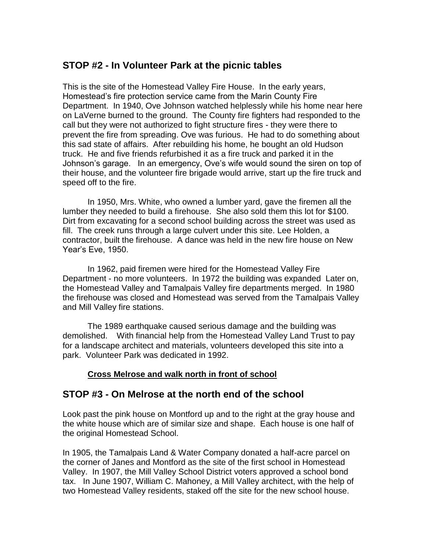# **STOP #2 - In Volunteer Park at the picnic tables**

This is the site of the Homestead Valley Fire House. In the early years, Homestead's fire protection service came from the Marin County Fire Department. In 1940, Ove Johnson watched helplessly while his home near here on LaVerne burned to the ground. The County fire fighters had responded to the call but they were not authorized to fight structure fires - they were there to prevent the fire from spreading. Ove was furious. He had to do something about this sad state of affairs. After rebuilding his home, he bought an old Hudson truck. He and five friends refurbished it as a fire truck and parked it in the Johnson's garage. In an emergency, Ove's wife would sound the siren on top of their house, and the volunteer fire brigade would arrive, start up the fire truck and speed off to the fire.

In 1950, Mrs. White, who owned a lumber yard, gave the firemen all the lumber they needed to build a firehouse. She also sold them this lot for \$100. Dirt from excavating for a second school building across the street was used as fill. The creek runs through a large culvert under this site. Lee Holden, a contractor, built the firehouse. A dance was held in the new fire house on New Year's Eve, 1950.

In 1962, paid firemen were hired for the Homestead Valley Fire Department - no more volunteers. In 1972 the building was expanded Later on, the Homestead Valley and Tamalpais Valley fire departments merged. In 1980 the firehouse was closed and Homestead was served from the Tamalpais Valley and Mill Valley fire stations.

The 1989 earthquake caused serious damage and the building was demolished. With financial help from the Homestead Valley Land Trust to pay for a landscape architect and materials, volunteers developed this site into a park. Volunteer Park was dedicated in 1992.

#### **Cross Melrose and walk north in front of school**

# **STOP #3 - On Melrose at the north end of the school**

Look past the pink house on Montford up and to the right at the gray house and the white house which are of similar size and shape. Each house is one half of the original Homestead School.

In 1905, the Tamalpais Land & Water Company donated a half-acre parcel on the corner of Janes and Montford as the site of the first school in Homestead Valley. In 1907, the Mill Valley School District voters approved a school bond tax. In June 1907, William C. Mahoney, a Mill Valley architect, with the help of two Homestead Valley residents, staked off the site for the new school house.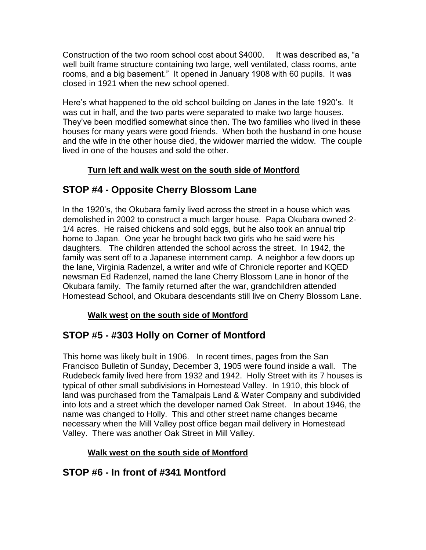Construction of the two room school cost about \$4000. It was described as, "a well built frame structure containing two large, well ventilated, class rooms, ante rooms, and a big basement." It opened in January 1908 with 60 pupils. It was closed in 1921 when the new school opened.

Here's what happened to the old school building on Janes in the late 1920's. It was cut in half, and the two parts were separated to make two large houses. They've been modified somewhat since then. The two families who lived in these houses for many years were good friends. When both the husband in one house and the wife in the other house died, the widower married the widow. The couple lived in one of the houses and sold the other.

### **Turn left and walk west on the south side of Montford**

# **STOP #4 - Opposite Cherry Blossom Lane**

In the 1920's, the Okubara family lived across the street in a house which was demolished in 2002 to construct a much larger house. Papa Okubara owned 2- 1/4 acres. He raised chickens and sold eggs, but he also took an annual trip home to Japan. One year he brought back two girls who he said were his daughters. The children attended the school across the street. In 1942, the family was sent off to a Japanese internment camp. A neighbor a few doors up the lane, Virginia Radenzel, a writer and wife of Chronicle reporter and KQED newsman Ed Radenzel, named the lane Cherry Blossom Lane in honor of the Okubara family. The family returned after the war, grandchildren attended Homestead School, and Okubara descendants still live on Cherry Blossom Lane.

#### **Walk west on the south side of Montford**

# **STOP #5 - #303 Holly on Corner of Montford**

This home was likely built in 1906. In recent times, pages from the San Francisco Bulletin of Sunday, December 3, 1905 were found inside a wall. The Rudebeck family lived here from 1932 and 1942. Holly Street with its 7 houses is typical of other small subdivisions in Homestead Valley. In 1910, this block of land was purchased from the Tamalpais Land & Water Company and subdivided into lots and a street which the developer named Oak Street. In about 1946, the name was changed to Holly. This and other street name changes became necessary when the Mill Valley post office began mail delivery in Homestead Valley. There was another Oak Street in Mill Valley.

### **Walk west on the south side of Montford**

# **STOP #6 - In front of #341 Montford**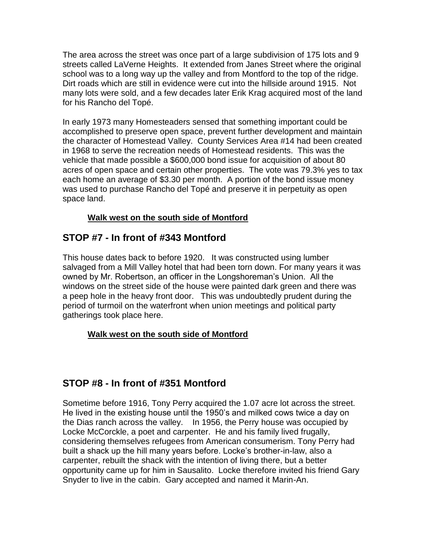The area across the street was once part of a large subdivision of 175 lots and 9 streets called LaVerne Heights. It extended from Janes Street where the original school was to a long way up the valley and from Montford to the top of the ridge. Dirt roads which are still in evidence were cut into the hillside around 1915. Not many lots were sold, and a few decades later Erik Krag acquired most of the land for his Rancho del Topé.

In early 1973 many Homesteaders sensed that something important could be accomplished to preserve open space, prevent further development and maintain the character of Homestead Valley. County Services Area #14 had been created in 1968 to serve the recreation needs of Homestead residents. This was the vehicle that made possible a \$600,000 bond issue for acquisition of about 80 acres of open space and certain other properties. The vote was 79.3% yes to tax each home an average of \$3.30 per month. A portion of the bond issue money was used to purchase Rancho del Topé and preserve it in perpetuity as open space land.

#### **Walk west on the south side of Montford**

# **STOP #7 - In front of #343 Montford**

This house dates back to before 1920. It was constructed using lumber salvaged from a Mill Valley hotel that had been torn down. For many years it was owned by Mr. Robertson, an officer in the Longshoreman's Union. All the windows on the street side of the house were painted dark green and there was a peep hole in the heavy front door. This was undoubtedly prudent during the period of turmoil on the waterfront when union meetings and political party gatherings took place here.

#### **Walk west on the south side of Montford**

# **STOP #8 - In front of #351 Montford**

Sometime before 1916, Tony Perry acquired the 1.07 acre lot across the street. He lived in the existing house until the 1950's and milked cows twice a day on the Dias ranch across the valley. In 1956, the Perry house was occupied by Locke McCorckle, a poet and carpenter. He and his family lived frugally, considering themselves refugees from American consumerism. Tony Perry had built a shack up the hill many years before. Locke's brother-in-law, also a carpenter, rebuilt the shack with the intention of living there, but a better opportunity came up for him in Sausalito. Locke therefore invited his friend Gary Snyder to live in the cabin. Gary accepted and named it Marin-An.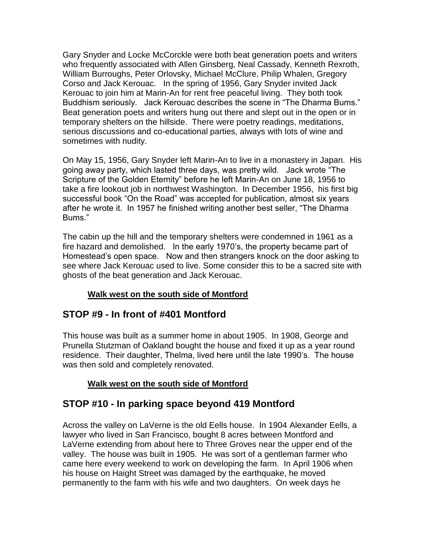Gary Snyder and Locke McCorckle were both beat generation poets and writers who frequently associated with Allen Ginsberg, Neal Cassady, Kenneth Rexroth, William Burroughs, Peter Orlovsky, Michael McClure, Philip Whalen, Gregory Corso and Jack Kerouac. In the spring of 1956, Gary Snyder invited Jack Kerouac to join him at Marin-An for rent free peaceful living. They both took Buddhism seriously. Jack Kerouac describes the scene in "The Dharma Bums." Beat generation poets and writers hung out there and slept out in the open or in temporary shelters on the hillside. There were poetry readings, meditations, serious discussions and co-educational parties, always with lots of wine and sometimes with nudity.

On May 15, 1956, Gary Snyder left Marin-An to live in a monastery in Japan. His going away party, which lasted three days, was pretty wild. Jack wrote "The Scripture of the Golden Eternity" before he left Marin-An on June 18, 1956 to take a fire lookout job in northwest Washington. In December 1956, his first big successful book "On the Road" was accepted for publication, almost six years after he wrote it. In 1957 he finished writing another best seller, "The Dharma Bums."

The cabin up the hill and the temporary shelters were condemned in 1961 as a fire hazard and demolished. In the early 1970's, the property became part of Homestead's open space. Now and then strangers knock on the door asking to see where Jack Kerouac used to live. Some consider this to be a sacred site with ghosts of the beat generation and Jack Kerouac.

#### **Walk west on the south side of Montford**

# **STOP #9 - In front of #401 Montford**

This house was built as a summer home in about 1905. In 1908, George and Prunella Stutzman of Oakland bought the house and fixed it up as a year round residence. Their daughter, Thelma, lived here until the late 1990's. The house was then sold and completely renovated.

#### **Walk west on the south side of Montford**

# **STOP #10 - In parking space beyond 419 Montford**

Across the valley on LaVerne is the old Eells house. In 1904 Alexander Eells, a lawyer who lived in San Francisco, bought 8 acres between Montford and LaVerne extending from about here to Three Groves near the upper end of the valley. The house was built in 1905. He was sort of a gentleman farmer who came here every weekend to work on developing the farm. In April 1906 when his house on Haight Street was damaged by the earthquake, he moved permanently to the farm with his wife and two daughters. On week days he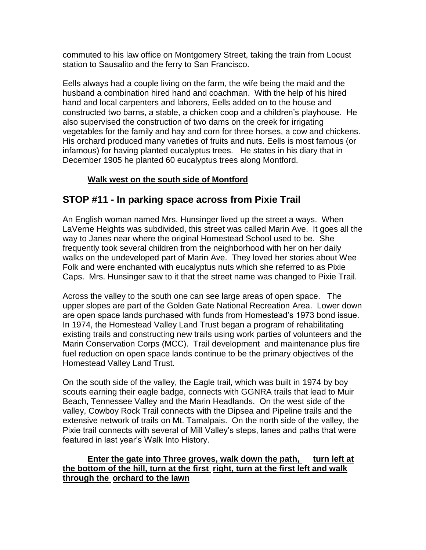commuted to his law office on Montgomery Street, taking the train from Locust station to Sausalito and the ferry to San Francisco.

Eells always had a couple living on the farm, the wife being the maid and the husband a combination hired hand and coachman. With the help of his hired hand and local carpenters and laborers, Eells added on to the house and constructed two barns, a stable, a chicken coop and a children's playhouse. He also supervised the construction of two dams on the creek for irrigating vegetables for the family and hay and corn for three horses, a cow and chickens. His orchard produced many varieties of fruits and nuts. Eells is most famous (or infamous) for having planted eucalyptus trees. He states in his diary that in December 1905 he planted 60 eucalyptus trees along Montford.

#### **Walk west on the south side of Montford**

# **STOP #11 - In parking space across from Pixie Trail**

An English woman named Mrs. Hunsinger lived up the street a ways. When LaVerne Heights was subdivided, this street was called Marin Ave. It goes all the way to Janes near where the original Homestead School used to be. She frequently took several children from the neighborhood with her on her daily walks on the undeveloped part of Marin Ave. They loved her stories about Wee Folk and were enchanted with eucalyptus nuts which she referred to as Pixie Caps. Mrs. Hunsinger saw to it that the street name was changed to Pixie Trail.

Across the valley to the south one can see large areas of open space. The upper slopes are part of the Golden Gate National Recreation Area. Lower down are open space lands purchased with funds from Homestead's 1973 bond issue. In 1974, the Homestead Valley Land Trust began a program of rehabilitating existing trails and constructing new trails using work parties of volunteers and the Marin Conservation Corps (MCC). Trail development and maintenance plus fire fuel reduction on open space lands continue to be the primary objectives of the Homestead Valley Land Trust.

On the south side of the valley, the Eagle trail, which was built in 1974 by boy scouts earning their eagle badge, connects with GGNRA trails that lead to Muir Beach, Tennessee Valley and the Marin Headlands. On the west side of the valley, Cowboy Rock Trail connects with the Dipsea and Pipeline trails and the extensive network of trails on Mt. Tamalpais. On the north side of the valley, the Pixie trail connects with several of Mill Valley's steps, lanes and paths that were featured in last year's Walk Into History.

#### **Enter the gate into Three groves, walk down the path, turn left at the bottom of the hill, turn at the first right, turn at the first left and walk through the orchard to the lawn**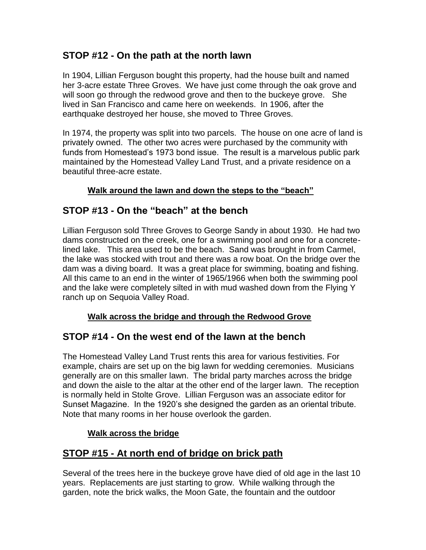# **STOP #12 - On the path at the north lawn**

In 1904, Lillian Ferguson bought this property, had the house built and named her 3-acre estate Three Groves. We have just come through the oak grove and will soon go through the redwood grove and then to the buckeye grove. She lived in San Francisco and came here on weekends. In 1906, after the earthquake destroyed her house, she moved to Three Groves.

In 1974, the property was split into two parcels. The house on one acre of land is privately owned. The other two acres were purchased by the community with funds from Homestead's 1973 bond issue. The result is a marvelous public park maintained by the Homestead Valley Land Trust, and a private residence on a beautiful three-acre estate.

### **Walk around the lawn and down the steps to the "beach"**

# **STOP #13 - On the "beach" at the bench**

Lillian Ferguson sold Three Groves to George Sandy in about 1930. He had two dams constructed on the creek, one for a swimming pool and one for a concretelined lake. This area used to be the beach. Sand was brought in from Carmel, the lake was stocked with trout and there was a row boat. On the bridge over the dam was a diving board. It was a great place for swimming, boating and fishing. All this came to an end in the winter of 1965/1966 when both the swimming pool and the lake were completely silted in with mud washed down from the Flying Y ranch up on Sequoia Valley Road.

### **Walk across the bridge and through the Redwood Grove**

# **STOP #14 - On the west end of the lawn at the bench**

The Homestead Valley Land Trust rents this area for various festivities. For example, chairs are set up on the big lawn for wedding ceremonies. Musicians generally are on this smaller lawn. The bridal party marches across the bridge and down the aisle to the altar at the other end of the larger lawn. The reception is normally held in Stolte Grove. Lillian Ferguson was an associate editor for Sunset Magazine. In the 1920's she designed the garden as an oriental tribute. Note that many rooms in her house overlook the garden.

### **Walk across the bridge**

# **STOP #15 - At north end of bridge on brick path**

Several of the trees here in the buckeye grove have died of old age in the last 10 years. Replacements are just starting to grow. While walking through the garden, note the brick walks, the Moon Gate, the fountain and the outdoor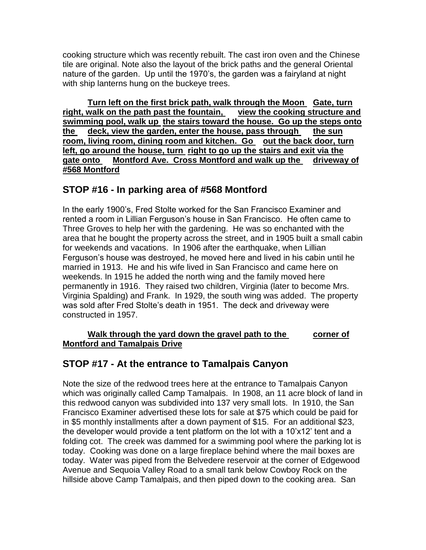cooking structure which was recently rebuilt. The cast iron oven and the Chinese tile are original. Note also the layout of the brick paths and the general Oriental nature of the garden. Up until the 1970's, the garden was a fairyland at night with ship lanterns hung on the buckeye trees.

**Turn left on the first brick path, walk through the Moon Gate, turn right, walk on the path past the fountain, view the cooking structure and swimming pool, walk up the stairs toward the house. Go up the steps onto the deck, view the garden, enter the house, pass through the sun**  room, living room, dining room and kitchen. Go out the back door, turn **left, go around the house, turn right to go up the stairs and exit via the gate onto Montford Ave. Cross Montford and walk up the driveway of #568 Montford**

### **STOP #16 - In parking area of #568 Montford**

In the early 1900's, Fred Stolte worked for the San Francisco Examiner and rented a room in Lillian Ferguson's house in San Francisco. He often came to Three Groves to help her with the gardening. He was so enchanted with the area that he bought the property across the street, and in 1905 built a small cabin for weekends and vacations. In 1906 after the earthquake, when Lillian Ferguson's house was destroyed, he moved here and lived in his cabin until he married in 1913. He and his wife lived in San Francisco and came here on weekends. In 1915 he added the north wing and the family moved here permanently in 1916. They raised two children, Virginia (later to become Mrs. Virginia Spalding) and Frank. In 1929, the south wing was added. The property was sold after Fred Stolte's death in 1951. The deck and driveway were constructed in 1957.

#### **Walk through the yard down the gravel path to the corner of Montford and Tamalpais Drive**

# **STOP #17 - At the entrance to Tamalpais Canyon**

Note the size of the redwood trees here at the entrance to Tamalpais Canyon which was originally called Camp Tamalpais. In 1908, an 11 acre block of land in this redwood canyon was subdivided into 137 very small lots. In 1910, the San Francisco Examiner advertised these lots for sale at \$75 which could be paid for in \$5 monthly installments after a down payment of \$15. For an additional \$23, the developer would provide a tent platform on the lot with a 10'x12' tent and a folding cot. The creek was dammed for a swimming pool where the parking lot is today. Cooking was done on a large fireplace behind where the mail boxes are today. Water was piped from the Belvedere reservoir at the corner of Edgewood Avenue and Sequoia Valley Road to a small tank below Cowboy Rock on the hillside above Camp Tamalpais, and then piped down to the cooking area. San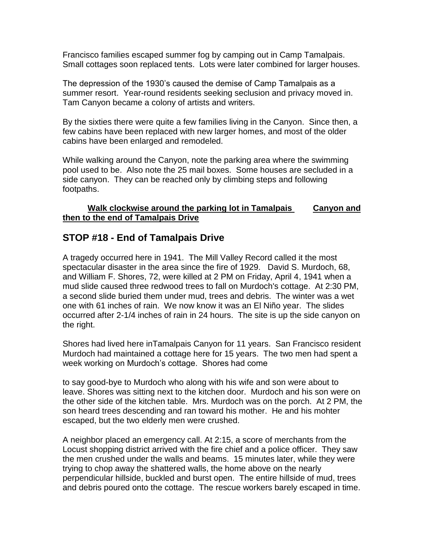Francisco families escaped summer fog by camping out in Camp Tamalpais. Small cottages soon replaced tents. Lots were later combined for larger houses.

The depression of the 1930's caused the demise of Camp Tamalpais as a summer resort. Year-round residents seeking seclusion and privacy moved in. Tam Canyon became a colony of artists and writers.

By the sixties there were quite a few families living in the Canyon. Since then, a few cabins have been replaced with new larger homes, and most of the older cabins have been enlarged and remodeled.

While walking around the Canyon, note the parking area where the swimming pool used to be. Also note the 25 mail boxes. Some houses are secluded in a side canyon. They can be reached only by climbing steps and following footpaths.

#### **Walk clockwise around the parking lot in Tamalpais Canyon and then to the end of Tamalpais Drive**

# **STOP #18 - End of Tamalpais Drive**

A tragedy occurred here in 1941. The Mill Valley Record called it the most spectacular disaster in the area since the fire of 1929. David S. Murdoch, 68, and William F. Shores, 72, were killed at 2 PM on Friday, April 4, 1941 when a mud slide caused three redwood trees to fall on Murdoch's cottage. At 2:30 PM, a second slide buried them under mud, trees and debris. The winter was a wet one with 61 inches of rain. We now know it was an El Niño year. The slides occurred after 2-1/4 inches of rain in 24 hours. The site is up the side canyon on the right.

Shores had lived here inTamalpais Canyon for 11 years. San Francisco resident Murdoch had maintained a cottage here for 15 years. The two men had spent a week working on Murdoch's cottage. Shores had come

to say good-bye to Murdoch who along with his wife and son were about to leave. Shores was sitting next to the kitchen door. Murdoch and his son were on the other side of the kitchen table. Mrs. Murdoch was on the porch. At 2 PM, the son heard trees descending and ran toward his mother. He and his mohter escaped, but the two elderly men were crushed.

A neighbor placed an emergency call. At 2:15, a score of merchants from the Locust shopping district arrived with the fire chief and a police officer. They saw the men crushed under the walls and beams. 15 minutes later, while they were trying to chop away the shattered walls, the home above on the nearly perpendicular hillside, buckled and burst open. The entire hillside of mud, trees and debris poured onto the cottage. The rescue workers barely escaped in time.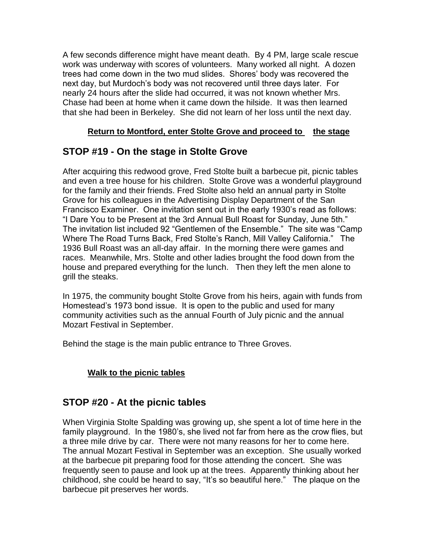A few seconds difference might have meant death. By 4 PM, large scale rescue work was underway with scores of volunteers. Many worked all night. A dozen trees had come down in the two mud slides. Shores' body was recovered the next day, but Murdoch's body was not recovered until three days later. For nearly 24 hours after the slide had occurred, it was not known whether Mrs. Chase had been at home when it came down the hilside. It was then learned that she had been in Berkeley. She did not learn of her loss until the next day.

#### **Return to Montford, enter Stolte Grove and proceed to the stage**

# **STOP #19 - On the stage in Stolte Grove**

After acquiring this redwood grove, Fred Stolte built a barbecue pit, picnic tables and even a tree house for his children. Stolte Grove was a wonderful playground for the family and their friends. Fred Stolte also held an annual party in Stolte Grove for his colleagues in the Advertising Display Department of the San Francisco Examiner. One invitation sent out in the early 1930's read as follows: "I Dare You to be Present at the 3rd Annual Bull Roast for Sunday, June 5th." The invitation list included 92 "Gentlemen of the Ensemble." The site was "Camp Where The Road Turns Back, Fred Stolte's Ranch, Mill Valley California." The 1936 Bull Roast was an all-day affair. In the morning there were games and races. Meanwhile, Mrs. Stolte and other ladies brought the food down from the house and prepared everything for the lunch. Then they left the men alone to grill the steaks.

In 1975, the community bought Stolte Grove from his heirs, again with funds from Homestead's 1973 bond issue. It is open to the public and used for many community activities such as the annual Fourth of July picnic and the annual Mozart Festival in September.

Behind the stage is the main public entrance to Three Groves.

### **Walk to the picnic tables**

# **STOP #20 - At the picnic tables**

When Virginia Stolte Spalding was growing up, she spent a lot of time here in the family playground. In the 1980's, she lived not far from here as the crow flies, but a three mile drive by car. There were not many reasons for her to come here. The annual Mozart Festival in September was an exception. She usually worked at the barbecue pit preparing food for those attending the concert. She was frequently seen to pause and look up at the trees. Apparently thinking about her childhood, she could be heard to say, "It's so beautiful here." The plaque on the barbecue pit preserves her words.